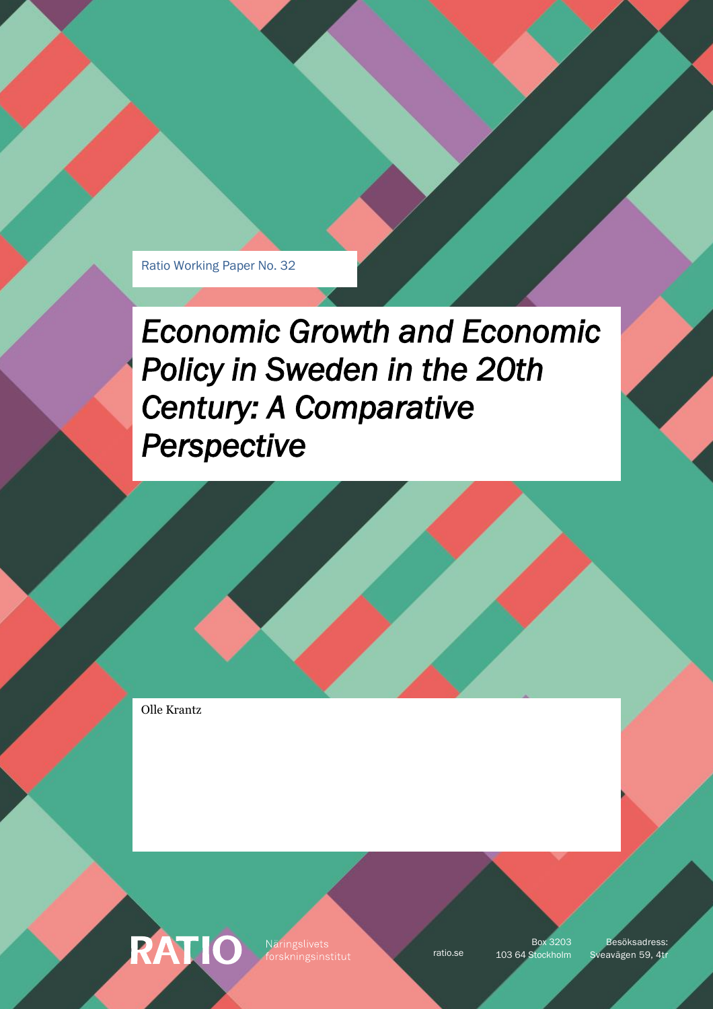Ratio Working Paper No. 32

# *Economic Growth and Economic Policy in Sweden in the 20th Century: A Comparative Perspective*

Olle Krantz

**RATIO** Näringslivets

Box 3203

ratio.se 103 64 Stockholm Sveavägen 59, 4tr Besöksadress: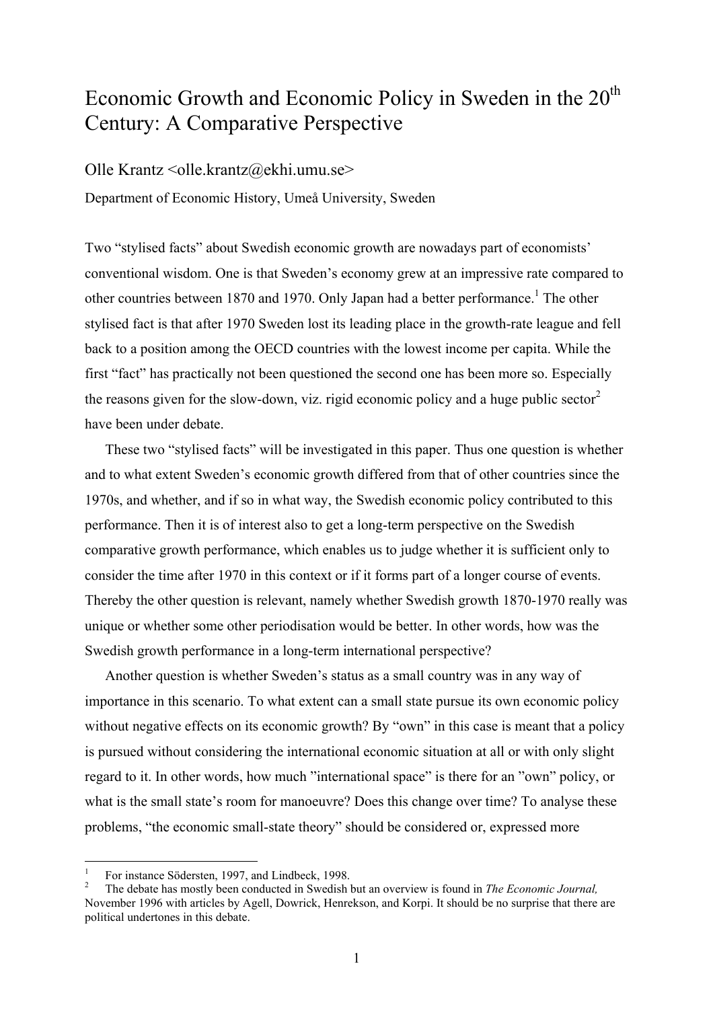# Economic Growth and Economic Policy in Sweden in the 20<sup>th</sup> Century: A Comparative Perspective

## Olle Krantz  $\leq$ olle.krantz@ekhi.umu.se $>$

Department of Economic History, Umeå University, Sweden

Two "stylised facts" about Swedish economic growth are nowadays part of economists' conventional wisdom. One is that Sweden's economy grew at an impressive rate compared to other countries between 1870 and 1970. Only Japan had a better performance.<sup>1</sup> The other stylised fact is that after 1970 Sweden lost its leading place in the growth-rate league and fell back to a position among the OECD countries with the lowest income per capita. While the first "fact" has practically not been questioned the second one has been more so. Especially the reasons given for the slow-down, viz. rigid economic policy and a huge public sector<sup>[2](#page-1-1)</sup> have been under debate.

These two "stylised facts" will be investigated in this paper. Thus one question is whether and to what extent Sweden's economic growth differed from that of other countries since the 1970s, and whether, and if so in what way, the Swedish economic policy contributed to this performance. Then it is of interest also to get a long-term perspective on the Swedish comparative growth performance, which enables us to judge whether it is sufficient only to consider the time after 1970 in this context or if it forms part of a longer course of events. Thereby the other question is relevant, namely whether Swedish growth 1870-1970 really was unique or whether some other periodisation would be better. In other words, how was the Swedish growth performance in a long-term international perspective?

Another question is whether Sweden's status as a small country was in any way of importance in this scenario. To what extent can a small state pursue its own economic policy without negative effects on its economic growth? By "own" in this case is meant that a policy is pursued without considering the international economic situation at all or with only slight regard to it. In other words, how much "international space" is there for an "own" policy, or what is the small state's room for manoeuvre? Does this change over time? To analyse these problems, "the economic small-state theory" should be considered or, expressed more

1

<span id="page-1-0"></span><sup>1</sup> For instance Södersten, 1997, and Lindbeck, 1998.

<span id="page-1-1"></span>The debate has mostly been conducted in Swedish but an overview is found in *The Economic Journal,* November 1996 with articles by Agell, Dowrick, Henrekson, and Korpi. It should be no surprise that there are political undertones in this debate.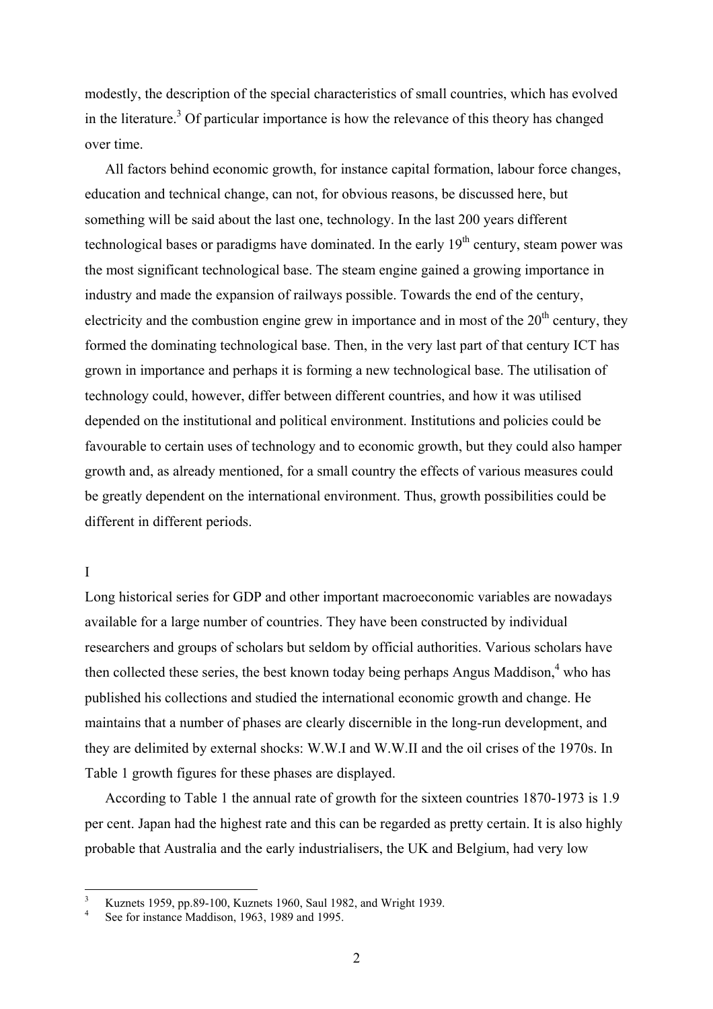modestly, the description of the special characteristics of small countries, which has evolved in the literature.<sup>3</sup> Of particular importance is how the relevance of this theory has changed over time.

All factors behind economic growth, for instance capital formation, labour force changes, education and technical change, can not, for obvious reasons, be discussed here, but something will be said about the last one, technology. In the last 200 years different technological bases or paradigms have dominated. In the early  $19<sup>th</sup>$  century, steam power was the most significant technological base. The steam engine gained a growing importance in industry and made the expansion of railways possible. Towards the end of the century, electricity and the combustion engine grew in importance and in most of the  $20<sup>th</sup>$  century, they formed the dominating technological base. Then, in the very last part of that century ICT has grown in importance and perhaps it is forming a new technological base. The utilisation of technology could, however, differ between different countries, and how it was utilised depended on the institutional and political environment. Institutions and policies could be favourable to certain uses of technology and to economic growth, but they could also hamper growth and, as already mentioned, for a small country the effects of various measures could be greatly dependent on the international environment. Thus, growth possibilities could be different in different periods.

#### I

1

Long historical series for GDP and other important macroeconomic variables are nowadays available for a large number of countries. They have been constructed by individual researchers and groups of scholars but seldom by official authorities. Various scholars have then collected these series, the best known today being perhaps Angus Maddison, $<sup>4</sup>$  who has</sup> published his collections and studied the international economic growth and change. He maintains that a number of phases are clearly discernible in the long-run development, and they are delimited by external shocks: W.W.I and W.W.II and the oil crises of the 1970s. In Table 1 growth figures for these phases are displayed.

According to Table 1 the annual rate of growth for the sixteen countries 1870-1973 is 1.9 per cent. Japan had the highest rate and this can be regarded as pretty certain. It is also highly probable that Australia and the early industrialisers, the UK and Belgium, had very low

<span id="page-2-0"></span><sup>3</sup> Kuznets 1959, pp.89-100, Kuznets 1960, Saul 1982, and Wright 1939. 4

<span id="page-2-1"></span>See for instance Maddison, 1963, 1989 and 1995.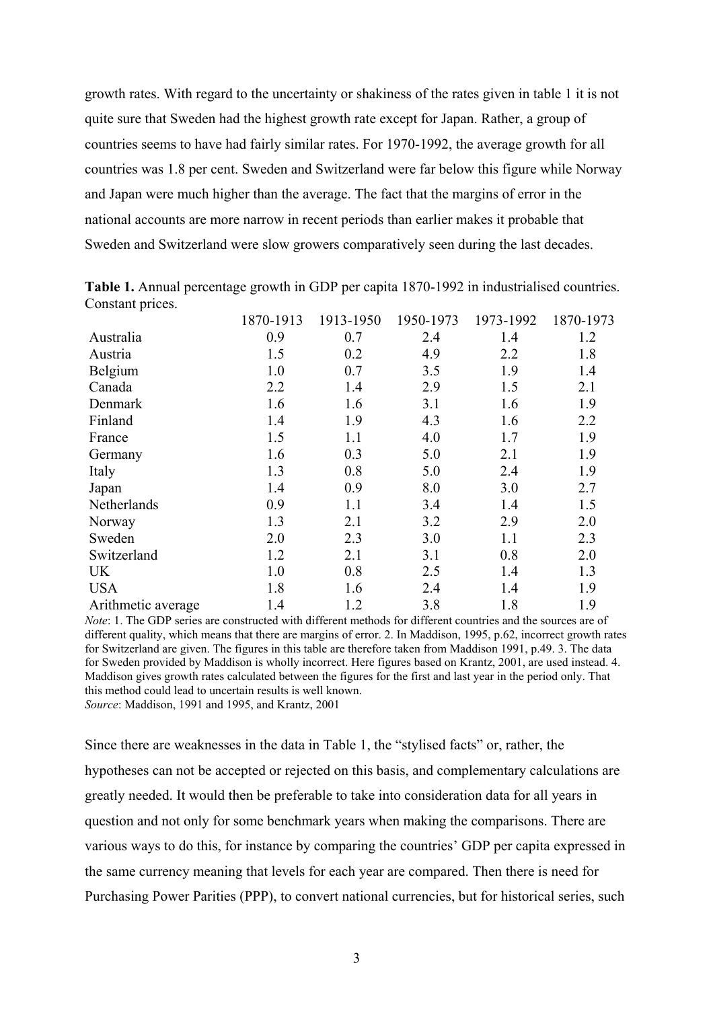growth rates. With regard to the uncertainty or shakiness of the rates given in table 1 it is not quite sure that Sweden had the highest growth rate except for Japan. Rather, a group of countries seems to have had fairly similar rates. For 1970-1992, the average growth for all countries was 1.8 per cent. Sweden and Switzerland were far below this figure while Norway and Japan were much higher than the average. The fact that the margins of error in the national accounts are more narrow in recent periods than earlier makes it probable that Sweden and Switzerland were slow growers comparatively seen during the last decades.

|                    | 1870-1913 | 1913-1950 | 1950-1973 | 1973-1992 | 1870-1973 |
|--------------------|-----------|-----------|-----------|-----------|-----------|
| Australia          | 0.9       | 0.7       | 2.4       | 1.4       | 1.2       |
| Austria            | 1.5       | 0.2       | 4.9       | 2.2       | 1.8       |
| Belgium            | 1.0       | 0.7       | 3.5       | 1.9       | 1.4       |
| Canada             | 2.2       | 1.4       | 2.9       | 1.5       | 2.1       |
| Denmark            | 1.6       | 1.6       | 3.1       | 1.6       | 1.9       |
| Finland            | 1.4       | 1.9       | 4.3       | 1.6       | 2.2       |
| France             | 1.5       | 1.1       | 4.0       | 1.7       | 1.9       |
| Germany            | 1.6       | 0.3       | 5.0       | 2.1       | 1.9       |
| Italy              | 1.3       | 0.8       | 5.0       | 2.4       | 1.9       |
| Japan              | 1.4       | 0.9       | 8.0       | 3.0       | 2.7       |
| Netherlands        | 0.9       | 1.1       | 3.4       | 1.4       | 1.5       |
| Norway             | 1.3       | 2.1       | 3.2       | 2.9       | 2.0       |
| Sweden             | 2.0       | 2.3       | 3.0       | 1.1       | 2.3       |
| Switzerland        | 1.2       | 2.1       | 3.1       | 0.8       | 2.0       |
| <b>UK</b>          | 1.0       | 0.8       | 2.5       | 1.4       | 1.3       |
| <b>USA</b>         | 1.8       | 1.6       | 2.4       | 1.4       | 1.9       |
| Arithmetic average | 1.4       | 1.2       | 3.8       | 1.8       | 1.9       |

**Table 1.** Annual percentage growth in GDP per capita 1870-1992 in industrialised countries. Constant prices.

*Note*: 1. The GDP series are constructed with different methods for different countries and the sources are of different quality, which means that there are margins of error. 2. In Maddison, 1995, p.62, incorrect growth rates for Switzerland are given. The figures in this table are therefore taken from Maddison 1991, p.49. 3. The data for Sweden provided by Maddison is wholly incorrect. Here figures based on Krantz, 2001, are used instead. 4. Maddison gives growth rates calculated between the figures for the first and last year in the period only. That this method could lead to uncertain results is well known. *Source*: Maddison, 1991 and 1995, and Krantz, 2001

Since there are weaknesses in the data in Table 1, the "stylised facts" or, rather, the hypotheses can not be accepted or rejected on this basis, and complementary calculations are greatly needed. It would then be preferable to take into consideration data for all years in question and not only for some benchmark years when making the comparisons. There are various ways to do this, for instance by comparing the countries' GDP per capita expressed in the same currency meaning that levels for each year are compared. Then there is need for Purchasing Power Parities (PPP), to convert national currencies, but for historical series, such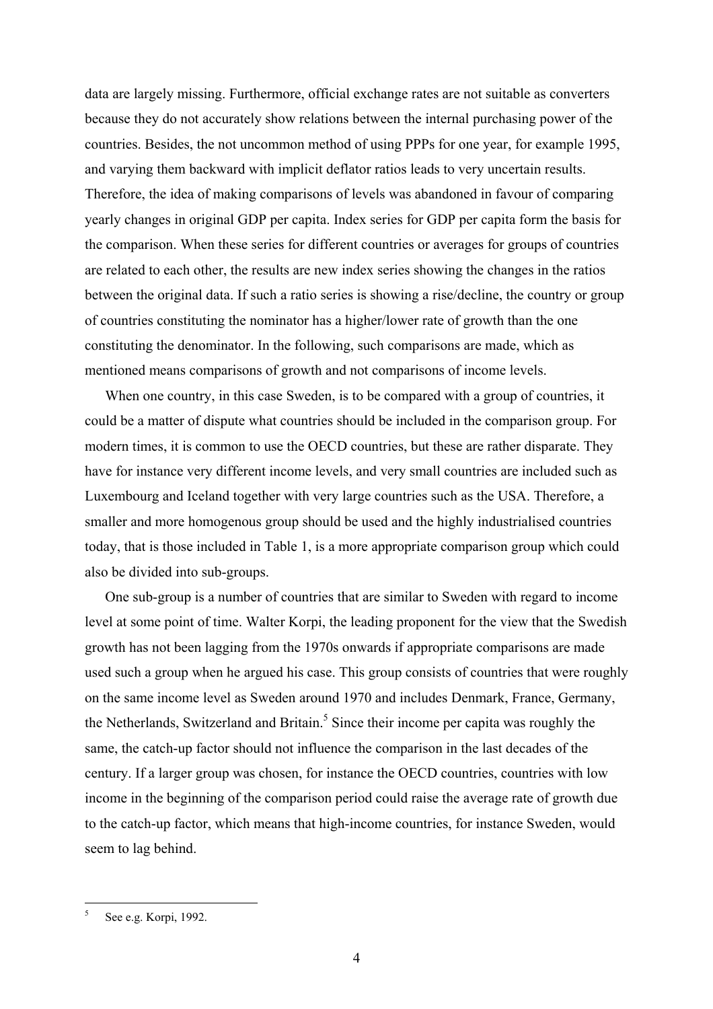data are largely missing. Furthermore, official exchange rates are not suitable as converters because they do not accurately show relations between the internal purchasing power of the countries. Besides, the not uncommon method of using PPPs for one year, for example 1995, and varying them backward with implicit deflator ratios leads to very uncertain results. Therefore, the idea of making comparisons of levels was abandoned in favour of comparing yearly changes in original GDP per capita. Index series for GDP per capita form the basis for the comparison. When these series for different countries or averages for groups of countries are related to each other, the results are new index series showing the changes in the ratios between the original data. If such a ratio series is showing a rise/decline, the country or group of countries constituting the nominator has a higher/lower rate of growth than the one constituting the denominator. In the following, such comparisons are made, which as mentioned means comparisons of growth and not comparisons of income levels.

When one country, in this case Sweden, is to be compared with a group of countries, it could be a matter of dispute what countries should be included in the comparison group. For modern times, it is common to use the OECD countries, but these are rather disparate. They have for instance very different income levels, and very small countries are included such as Luxembourg and Iceland together with very large countries such as the USA. Therefore, a smaller and more homogenous group should be used and the highly industrialised countries today, that is those included in Table 1, is a more appropriate comparison group which could also be divided into sub-groups.

One sub-group is a number of countries that are similar to Sweden with regard to income level at some point of time. Walter Korpi, the leading proponent for the view that the Swedish growth has not been lagging from the 1970s onwards if appropriate comparisons are made used such a group when he argued his case. This group consists of countries that were roughly on the same income level as Sweden around 1970 and includes Denmark, France, Germany, the Netherlands, Switzerland and Britain.<sup>5</sup> Since their income per capita was roughly the same, the catch-up factor should not influence the comparison in the last decades of the century. If a larger group was chosen, for instance the OECD countries, countries with low income in the beginning of the comparison period could raise the average rate of growth due to the catch-up factor, which means that high-income countries, for instance Sweden, would seem to lag behind.

1

<span id="page-4-0"></span><sup>5</sup> See e.g. Korpi, 1992.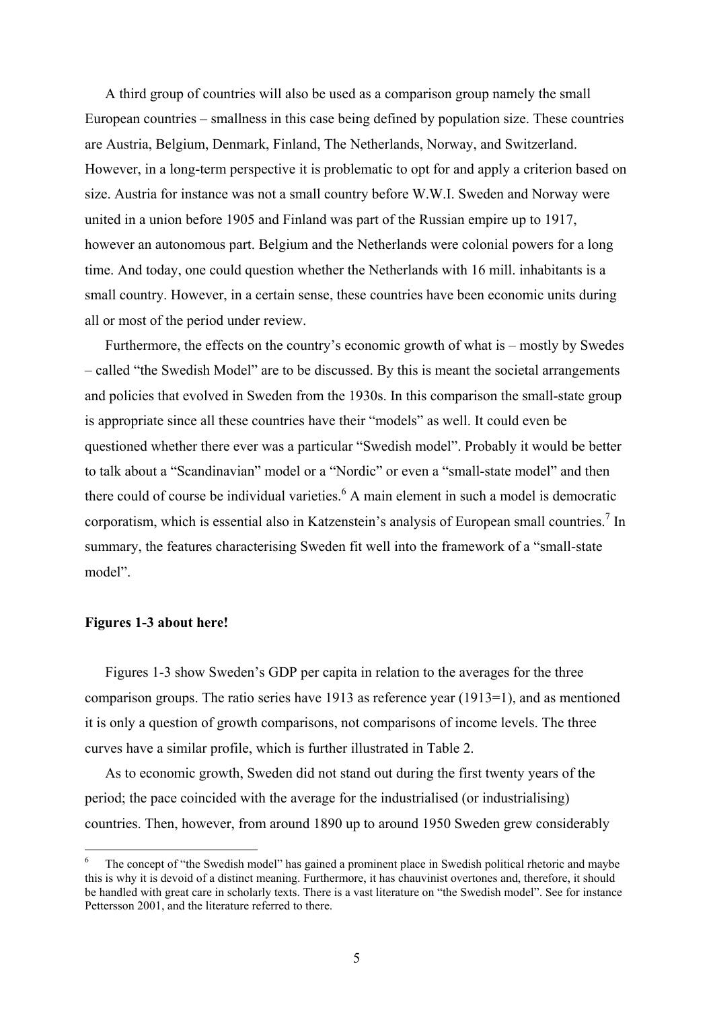A third group of countries will also be used as a comparison group namely the small European countries – smallness in this case being defined by population size. These countries are Austria, Belgium, Denmark, Finland, The Netherlands, Norway, and Switzerland. However, in a long-term perspective it is problematic to opt for and apply a criterion based on size. Austria for instance was not a small country before W.W.I. Sweden and Norway were united in a union before 1905 and Finland was part of the Russian empire up to 1917, however an autonomous part. Belgium and the Netherlands were colonial powers for a long time. And today, one could question whether the Netherlands with 16 mill. inhabitants is a small country. However, in a certain sense, these countries have been economic units during all or most of the period under review.

Furthermore, the effects on the country's economic growth of what is – mostly by Swedes – called "the Swedish Model" are to be discussed. By this is meant the societal arrangements and policies that evolved in Sweden from the 1930s. In this comparison the small-state group is appropriate since all these countries have their "models" as well. It could even be questioned whether there ever was a particular "Swedish model". Probably it would be better to talk about a "Scandinavian" model or a "Nordic" or even a "small-state model" and then there could of course be individual varieties.<sup>6</sup> A main element in such a model is democratic corporatism, which is essential also in Katzenstein's analysis of European small countries.<sup>7</sup> In summary, the features characterising Sweden fit well into the framework of a "small-state model".

#### **Figures 1-3 about here!**

 $\overline{a}$ 

Figures 1-3 show Sweden's GDP per capita in relation to the averages for the three comparison groups. The ratio series have 1913 as reference year (1913=1), and as mentioned it is only a question of growth comparisons, not comparisons of income levels. The three curves have a similar profile, which is further illustrated in Table 2.

<span id="page-5-1"></span>As to economic growth, Sweden did not stand out during the first twenty years of the period; the pace coincided with the average for the industrialised (or industrialising) countries. Then, however, from around 1890 up to around 1950 Sweden grew considerably

<span id="page-5-0"></span><sup>6</sup> The concept of "the Swedish model" has gained a prominent place in Swedish political rhetoric and maybe this is why it is devoid of a distinct meaning. Furthermore, it has chauvinist overtones and, therefore, it should be handled with great care in scholarly texts. There is a vast literature on "the Swedish model". See for instance Pettersson 2001, and the literature referred to there.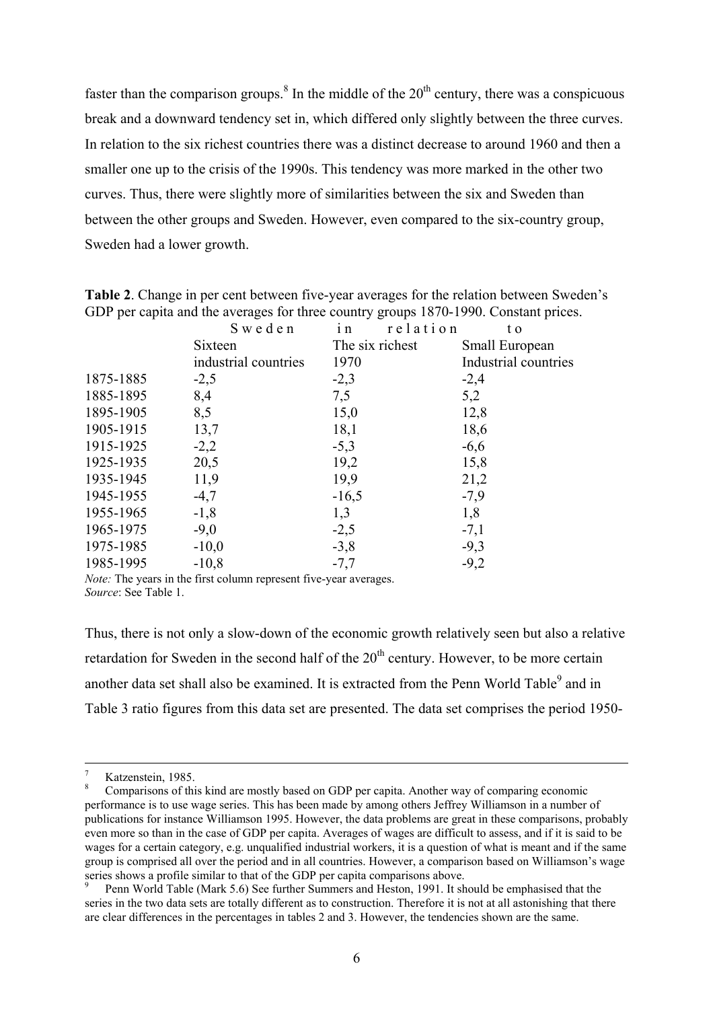faster than the comparison groups.<sup>[8](#page-6-0)</sup> In the middle of the  $20<sup>th</sup>$  century, there was a conspicuous break and a downward tendency set in, which differed only slightly between the three curves. In relation to the six richest countries there was a distinct decrease to around 1960 and then a smaller one up to the crisis of the 1990s. This tendency was more marked in the other two curves. Thus, there were slightly more of similarities between the six and Sweden than between the other groups and Sweden. However, even compared to the six-country group, Sweden had a lower growth.

Sweden in relation to Sixteen industrial countries The six richest 1970 Small European Industrial countries 1875-1885 -2,5 -2,3 -2,4 1885-1895 8,4 7,5 5,2 1895-1905 8,5 15,0 12,8 1905-1915 13,7 18,1 18,6 1915-1925 -2,2 -5,3 -6,6 1925-1935 20,5 19,2 15,8 1935-1945 11,9 19,9 21,2 1945-1955 -4,7 -16,5 -7,9 1955-1965 -1,8 1,3 1,8  $1965-1975$   $-9,0$   $-2,5$   $-7,1$ 1975-1985 -10,0 -3,8 -9,3 1985-1995 -10,8 -7,7 -9,2

**Table 2**. Change in per cent between five-year averages for the relation between Sweden's GDP per capita and the averages for three country groups 1870-1990. Constant prices.

*Note:* The years in the first column represent five-year averages. *Source*: See Table 1.

Thus, there is not only a slow-down of the economic growth relatively seen but also a relative retardation for Sweden in the second half of the  $20<sup>th</sup>$  century. However, to be more certain another data set shall also be examined. It is extracted from the Penn World Table<sup>9</sup> and in Table 3 ratio figures from this data set are presented. The data set comprises the period 1950-

 $\frac{1}{7}$ Katzenstein, 1985.

<span id="page-6-0"></span>Comparisons of this kind are mostly based on GDP per capita. Another way of comparing economic performance is to use wage series. This has been made by among others Jeffrey Williamson in a number of publications for instance Williamson 1995. However, the data problems are great in these comparisons, probably even more so than in the case of GDP per capita. Averages of wages are difficult to assess, and if it is said to be wages for a certain category, e.g. unqualified industrial workers, it is a question of what is meant and if the same group is comprised all over the period and in all countries. However, a comparison based on Williamson's wage series shows a profile similar to that of the GDP per capita comparisons above.

<span id="page-6-1"></span>Penn World Table (Mark 5.6) See further Summers and Heston, 1991. It should be emphasised that the series in the two data sets are totally different as to construction. Therefore it is not at all astonishing that there are clear differences in the percentages in tables 2 and 3. However, the tendencies shown are the same.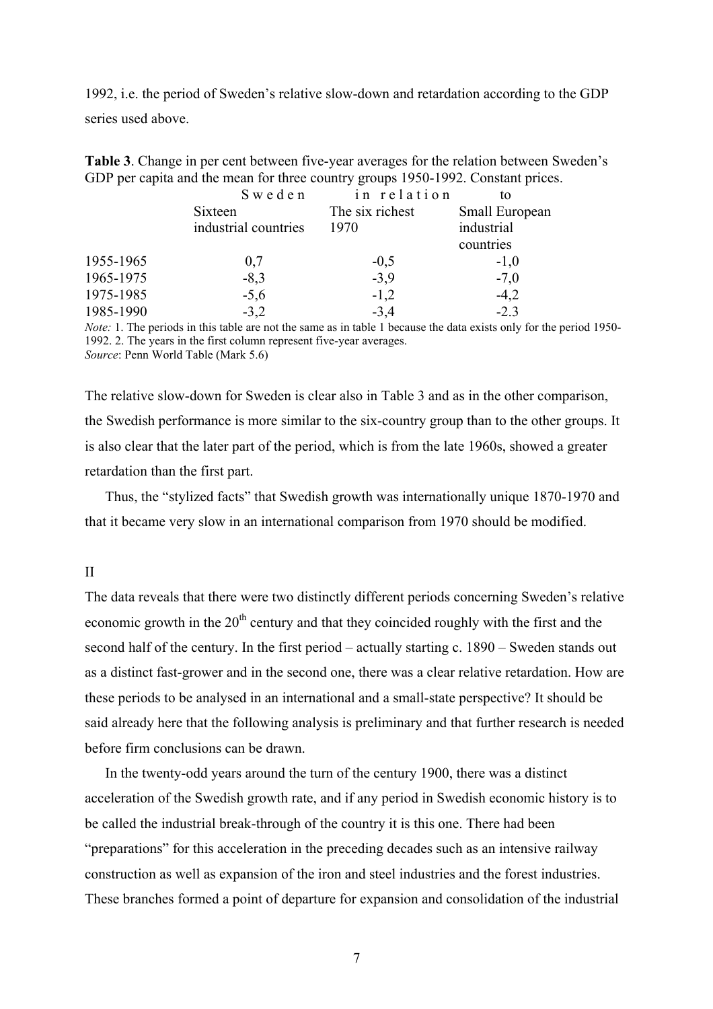1992, i.e. the period of Sweden's relative slow-down and retardation according to the GDP series used above.

**Table 3**. Change in per cent between five-year averages for the relation between Sweden's GDP per capita and the mean for three country groups 1950-1992. Constant prices.

|           | Sweden               | in relation     | to             |
|-----------|----------------------|-----------------|----------------|
|           | Sixteen              | The six richest | Small European |
|           | industrial countries | 1970            | industrial     |
|           |                      |                 | countries      |
| 1955-1965 | 0,7                  | $-0,5$          | $-1,0$         |
| 1965-1975 | $-8,3$               | $-3,9$          | $-7,0$         |
| 1975-1985 | $-5,6$               | $-1,2$          | $-4,2$         |
| 1985-1990 | $-3,2$               | $-3,4$          | $-2.3$         |

*Note:* 1. The periods in this table are not the same as in table 1 because the data exists only for the period 1950-1992. 2. The years in the first column represent five-year averages. *Source*: Penn World Table (Mark 5.6)

The relative slow-down for Sweden is clear also in Table 3 and as in the other comparison, the Swedish performance is more similar to the six-country group than to the other groups. It is also clear that the later part of the period, which is from the late 1960s, showed a greater retardation than the first part.

Thus, the "stylized facts" that Swedish growth was internationally unique 1870-1970 and that it became very slow in an international comparison from 1970 should be modified.

II

The data reveals that there were two distinctly different periods concerning Sweden's relative economic growth in the  $20<sup>th</sup>$  century and that they coincided roughly with the first and the second half of the century. In the first period – actually starting c. 1890 – Sweden stands out as a distinct fast-grower and in the second one, there was a clear relative retardation. How are these periods to be analysed in an international and a small-state perspective? It should be said already here that the following analysis is preliminary and that further research is needed before firm conclusions can be drawn.

In the twenty-odd years around the turn of the century 1900, there was a distinct acceleration of the Swedish growth rate, and if any period in Swedish economic history is to be called the industrial break-through of the country it is this one. There had been "preparations" for this acceleration in the preceding decades such as an intensive railway construction as well as expansion of the iron and steel industries and the forest industries. These branches formed a point of departure for expansion and consolidation of the industrial

7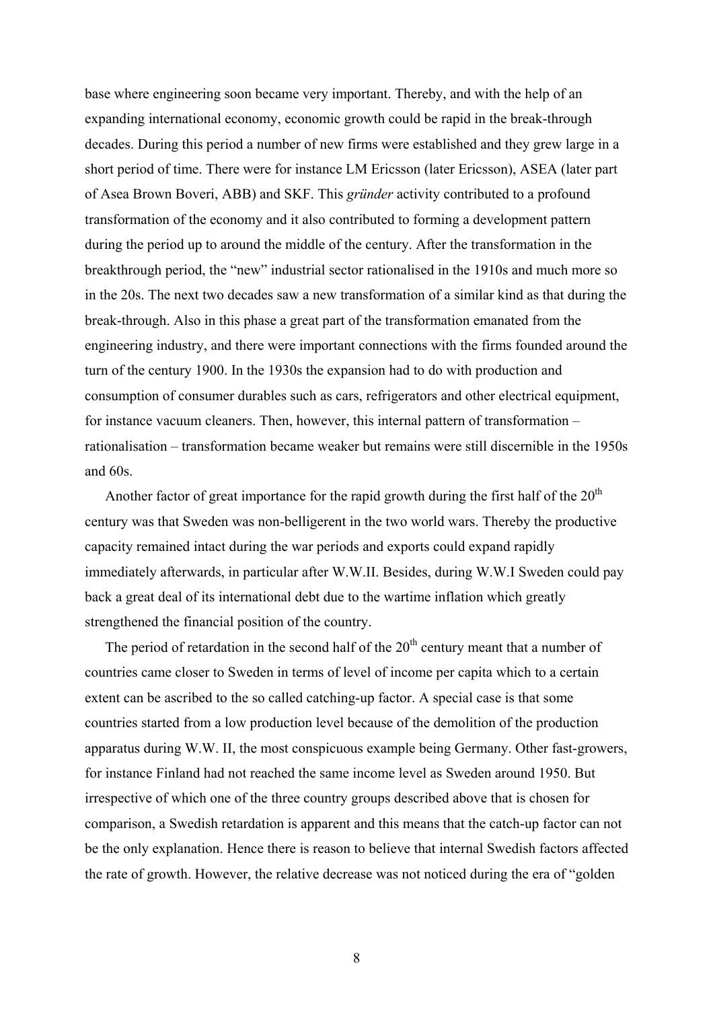base where engineering soon became very important. Thereby, and with the help of an expanding international economy, economic growth could be rapid in the break-through decades. During this period a number of new firms were established and they grew large in a short period of time. There were for instance LM Ericsson (later Ericsson), ASEA (later part of Asea Brown Boveri, ABB) and SKF. This *gründer* activity contributed to a profound transformation of the economy and it also contributed to forming a development pattern during the period up to around the middle of the century. After the transformation in the breakthrough period, the "new" industrial sector rationalised in the 1910s and much more so in the 20s. The next two decades saw a new transformation of a similar kind as that during the break-through. Also in this phase a great part of the transformation emanated from the engineering industry, and there were important connections with the firms founded around the turn of the century 1900. In the 1930s the expansion had to do with production and consumption of consumer durables such as cars, refrigerators and other electrical equipment, for instance vacuum cleaners. Then, however, this internal pattern of transformation – rationalisation – transformation became weaker but remains were still discernible in the 1950s and 60s.

Another factor of great importance for the rapid growth during the first half of the  $20<sup>th</sup>$ century was that Sweden was non-belligerent in the two world wars. Thereby the productive capacity remained intact during the war periods and exports could expand rapidly immediately afterwards, in particular after W.W.II. Besides, during W.W.I Sweden could pay back a great deal of its international debt due to the wartime inflation which greatly strengthened the financial position of the country.

The period of retardation in the second half of the  $20<sup>th</sup>$  century meant that a number of countries came closer to Sweden in terms of level of income per capita which to a certain extent can be ascribed to the so called catching-up factor. A special case is that some countries started from a low production level because of the demolition of the production apparatus during W.W. II, the most conspicuous example being Germany. Other fast-growers, for instance Finland had not reached the same income level as Sweden around 1950. But irrespective of which one of the three country groups described above that is chosen for comparison, a Swedish retardation is apparent and this means that the catch-up factor can not be the only explanation. Hence there is reason to believe that internal Swedish factors affected the rate of growth. However, the relative decrease was not noticed during the era of "golden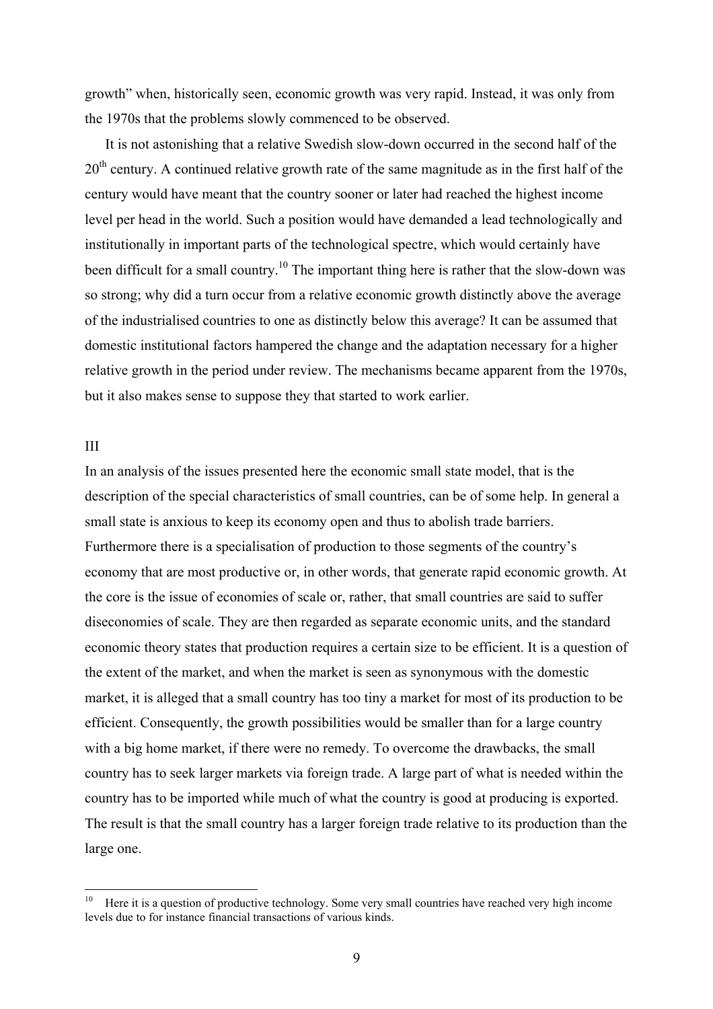growth" when, historically seen, economic growth was very rapid. Instead, it was only from the 1970s that the problems slowly commenced to be observed.

It is not astonishing that a relative Swedish slow-down occurred in the second half of the 20<sup>th</sup> century. A continued relative growth rate of the same magnitude as in the first half of the century would have meant that the country sooner or later had reached the highest income level per head in the world. Such a position would have demanded a lead technologically and institutionally in important parts of the technological spectre, which would certainly have been difficult for a small country.<sup>10</sup> The important thing here is rather that the slow-down was so strong; why did a turn occur from a relative economic growth distinctly above the average of the industrialised countries to one as distinctly below this average? It can be assumed that domestic institutional factors hampered the change and the adaptation necessary for a higher relative growth in the period under review. The mechanisms became apparent from the 1970s, but it also makes sense to suppose they that started to work earlier.

#### III

In an analysis of the issues presented here the economic small state model, that is the description of the special characteristics of small countries, can be of some help. In general a small state is anxious to keep its economy open and thus to abolish trade barriers. Furthermore there is a specialisation of production to those segments of the country's economy that are most productive or, in other words, that generate rapid economic growth. At the core is the issue of economies of scale or, rather, that small countries are said to suffer diseconomies of scale. They are then regarded as separate economic units, and the standard economic theory states that production requires a certain size to be efficient. It is a question of the extent of the market, and when the market is seen as synonymous with the domestic market, it is alleged that a small country has too tiny a market for most of its production to be efficient. Consequently, the growth possibilities would be smaller than for a large country with a big home market, if there were no remedy. To overcome the drawbacks, the small country has to seek larger markets via foreign trade. A large part of what is needed within the country has to be imported while much of what the country is good at producing is exported. The result is that the small country has a larger foreign trade relative to its production than the large one.

<span id="page-9-0"></span> $10\,$ Here it is a question of productive technology. Some very small countries have reached very high income levels due to for instance financial transactions of various kinds.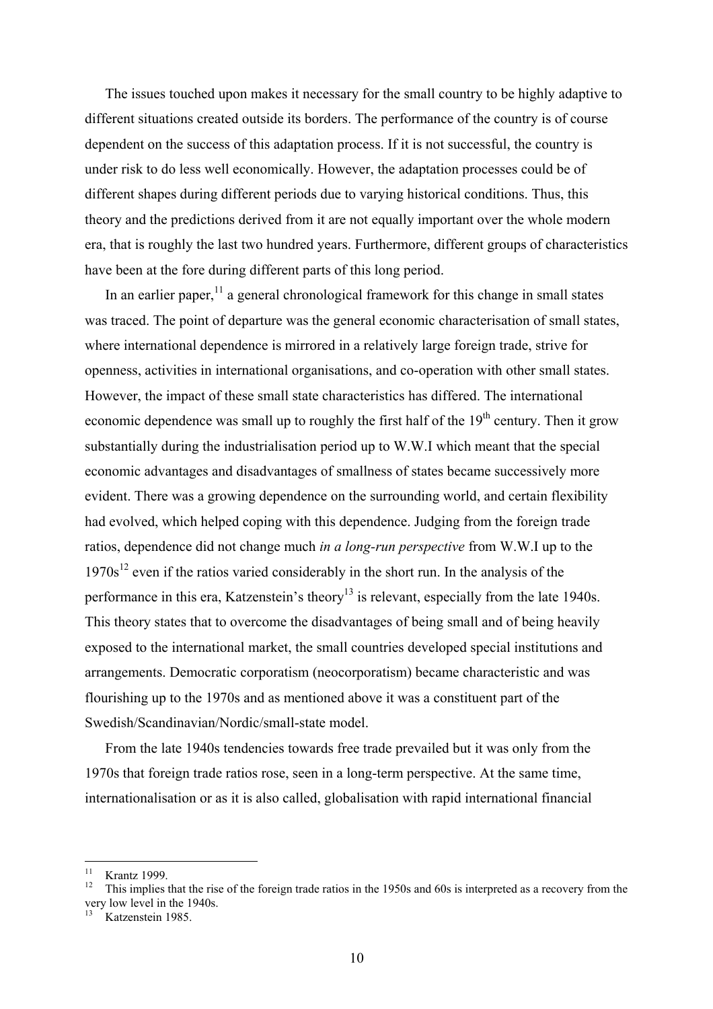The issues touched upon makes it necessary for the small country to be highly adaptive to different situations created outside its borders. The performance of the country is of course dependent on the success of this adaptation process. If it is not successful, the country is under risk to do less well economically. However, the adaptation processes could be of different shapes during different periods due to varying historical conditions. Thus, this theory and the predictions derived from it are not equally important over the whole modern era, that is roughly the last two hundred years. Furthermore, different groups of characteristics have been at the fore during different parts of this long period.

In an earlier paper, $<sup>11</sup>$  a general chronological framework for this change in small states</sup> was traced. The point of departure was the general economic characterisation of small states, where international dependence is mirrored in a relatively large foreign trade, strive for openness, activities in international organisations, and co-operation with other small states. However, the impact of these small state characteristics has differed. The international economic dependence was small up to roughly the first half of the  $19<sup>th</sup>$  century. Then it grow substantially during the industrialisation period up to W.W.I which meant that the special economic advantages and disadvantages of smallness of states became successively more evident. There was a growing dependence on the surrounding world, and certain flexibility had evolved, which helped coping with this dependence. Judging from the foreign trade ratios, dependence did not change much *in a long-run perspective* from W.W.I up to the  $1970s^{12}$  even if the ratios varied considerably in the short run. In the analysis of the performance in this era, Katzenstein's theory<sup>13</sup> is relevant, especially from the late 1940s. This theory states that to overcome the disadvantages of being small and of being heavily exposed to the international market, the small countries developed special institutions and arrangements. Democratic corporatism (neocorporatism) became characteristic and was flourishing up to the 1970s and as mentioned above it was a constituent part of the Swedish/Scandinavian/Nordic/small-state model.

From the late 1940s tendencies towards free trade prevailed but it was only from the 1970s that foreign trade ratios rose, seen in a long-term perspective. At the same time, internationalisation or as it is also called, globalisation with rapid international financial

 $11$ 

<span id="page-10-1"></span><span id="page-10-0"></span><sup>&</sup>lt;sup>11</sup> Krantz 1999.<br><sup>12</sup> This implies that the rise of the foreign trade ratios in the 1950s and 60s is interpreted as a recovery from the very low level in the 1940s.<br><sup>13</sup> Katzenstein 1985.

<span id="page-10-2"></span>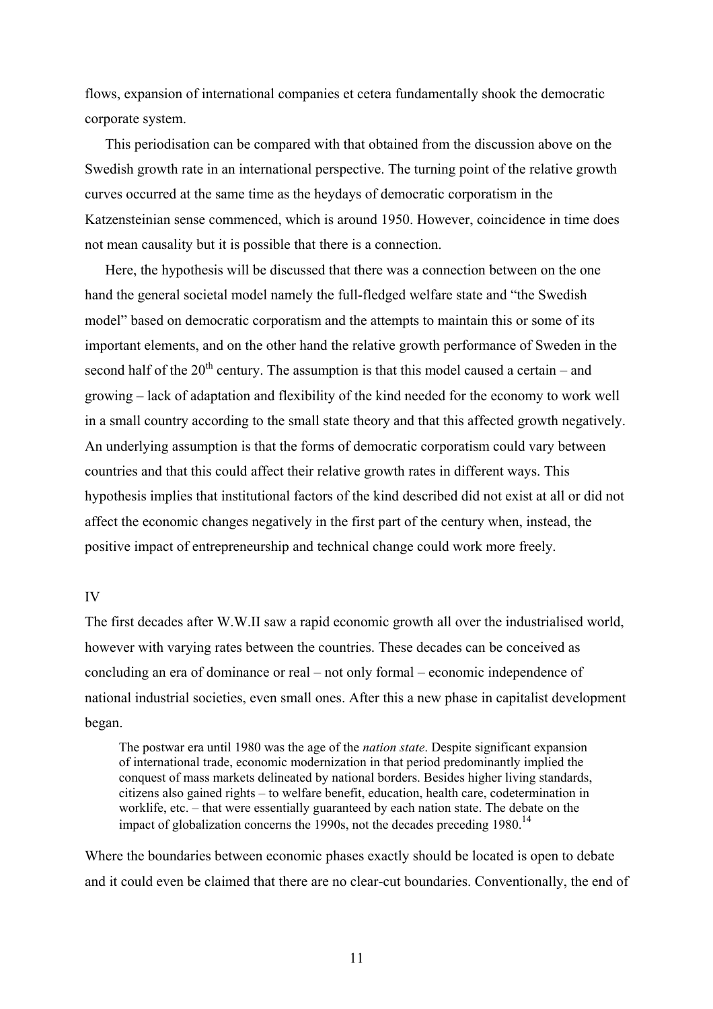flows, expansion of international companies et cetera fundamentally shook the democratic corporate system.

This periodisation can be compared with that obtained from the discussion above on the Swedish growth rate in an international perspective. The turning point of the relative growth curves occurred at the same time as the heydays of democratic corporatism in the Katzensteinian sense commenced, which is around 1950. However, coincidence in time does not mean causality but it is possible that there is a connection.

Here, the hypothesis will be discussed that there was a connection between on the one hand the general societal model namely the full-fledged welfare state and "the Swedish model" based on democratic corporatism and the attempts to maintain this or some of its important elements, and on the other hand the relative growth performance of Sweden in the second half of the  $20<sup>th</sup>$  century. The assumption is that this model caused a certain – and growing – lack of adaptation and flexibility of the kind needed for the economy to work well in a small country according to the small state theory and that this affected growth negatively. An underlying assumption is that the forms of democratic corporatism could vary between countries and that this could affect their relative growth rates in different ways. This hypothesis implies that institutional factors of the kind described did not exist at all or did not affect the economic changes negatively in the first part of the century when, instead, the positive impact of entrepreneurship and technical change could work more freely.

#### IV

The first decades after W.W.II saw a rapid economic growth all over the industrialised world, however with varying rates between the countries. These decades can be conceived as concluding an era of dominance or real – not only formal – economic independence of national industrial societies, even small ones. After this a new phase in capitalist development began.

The postwar era until 1980 was the age of the *nation state*. Despite significant expansion of international trade, economic modernization in that period predominantly implied the conquest of mass markets delineated by national borders. Besides higher living standards, citizens also gained rights – to welfare benefit, education, health care, codetermination in worklife, etc. – that were essentially guaranteed by each nation state. The debate on the impact of globalization concerns the 1990s, not the decades preceding 1980.<sup>14</sup>

<span id="page-11-0"></span>Where the boundaries between economic phases exactly should be located is open to debate and it could even be claimed that there are no clear-cut boundaries. Conventionally, the end of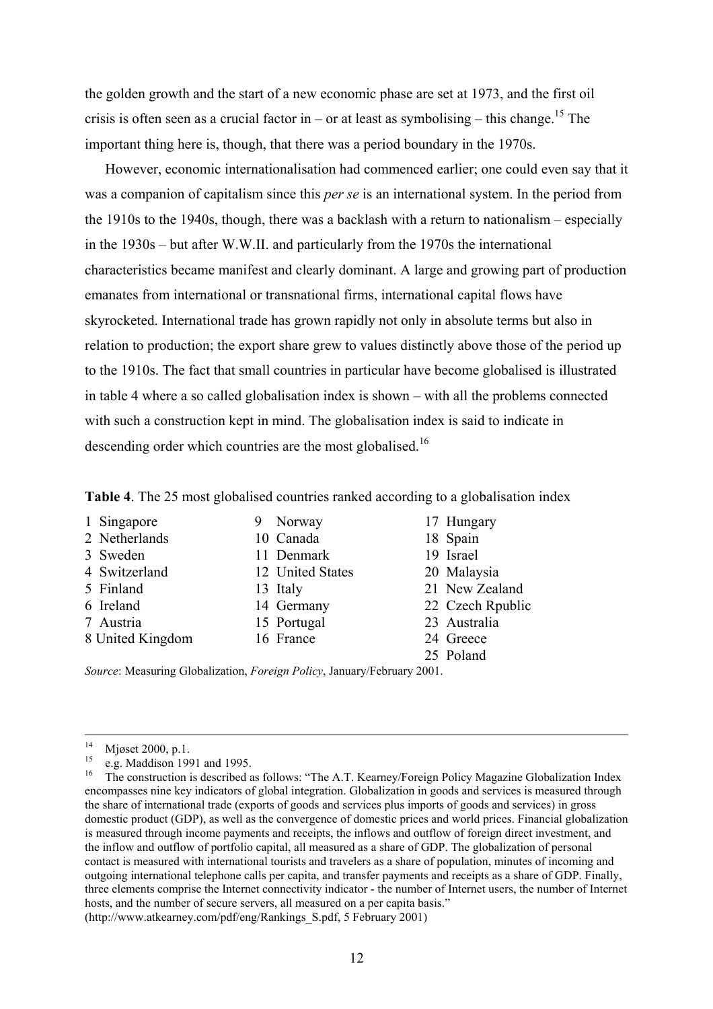the golden growth and the start of a new economic phase are set at 1973, and the first oil crisis is often seen as a crucial factor in – or at least as symbolising – this change.<sup>15</sup> The important thing here is, though, that there was a period boundary in the 1970s.

However, economic internationalisation had commenced earlier; one could even say that it was a companion of capitalism since this *per se* is an international system. In the period from the 1910s to the 1940s, though, there was a backlash with a return to nationalism – especially in the 1930s – but after W.W.II. and particularly from the 1970s the international characteristics became manifest and clearly dominant. A large and growing part of production emanates from international or transnational firms, international capital flows have skyrocketed. International trade has grown rapidly not only in absolute terms but also in relation to production; the export share grew to values distinctly above those of the period up to the 1910s. The fact that small countries in particular have become globalised is illustrated in table 4 where a so called globalisation index is shown – with all the problems connected with such a construction kept in mind. The globalisation index is said to indicate in descending order which countries are the most globalised.<sup>16</sup>

**Table 4**. The 25 most globalised countries ranked according to a globalisation index

- 1 Singapore 9 Norway 17 Hungary
- 
- 
- 
- 
- 
- 
- 
- 
- 3 Sweden 11 Denmark 19 Israel
- 4 Switzerland 12 United States 20 Malaysia
	-
	-
- 8 United Kingdom 16 France 24 Greece
- 
- 2 Netherlands 10 Canada 18 Spain
	-
	-
- 5 Finland 13 Italy 21 New Zealand
- 6 Ireland 14 Germany 22 Czech Rpublic
- 7 Austria 15 Portugal 23 Australia
	-
	- 25 Poland

*Source*: Measuring Globalization, *Foreign Policy*, January/February 2001.

<span id="page-12-1"></span><span id="page-12-0"></span>

<sup>&</sup>lt;sup>14</sup> Mjøset 2000, p.1.<br><sup>15</sup> e.g. Maddison 1991 and 1995.<br><sup>16</sup> The construction is described as follows: "The A.T. Kearney/Foreign Policy Magazine Globalization Index encompasses nine key indicators of global integration. Globalization in goods and services is measured through the share of international trade (exports of goods and services plus imports of goods and services) in gross domestic product (GDP), as well as the convergence of domestic prices and world prices. Financial globalization is measured through income payments and receipts, the inflows and outflow of foreign direct investment, and the inflow and outflow of portfolio capital, all measured as a share of GDP. The globalization of personal contact is measured with international tourists and travelers as a share of population, minutes of incoming and outgoing international telephone calls per capita, and transfer payments and receipts as a share of GDP. Finally, three elements comprise the Internet connectivity indicator - the number of Internet users, the number of Internet hosts, and the number of secure servers, all measured on a per capita basis." (http://www.atkearney.com/pdf/eng/Rankings\_S.pdf, 5 February 2001)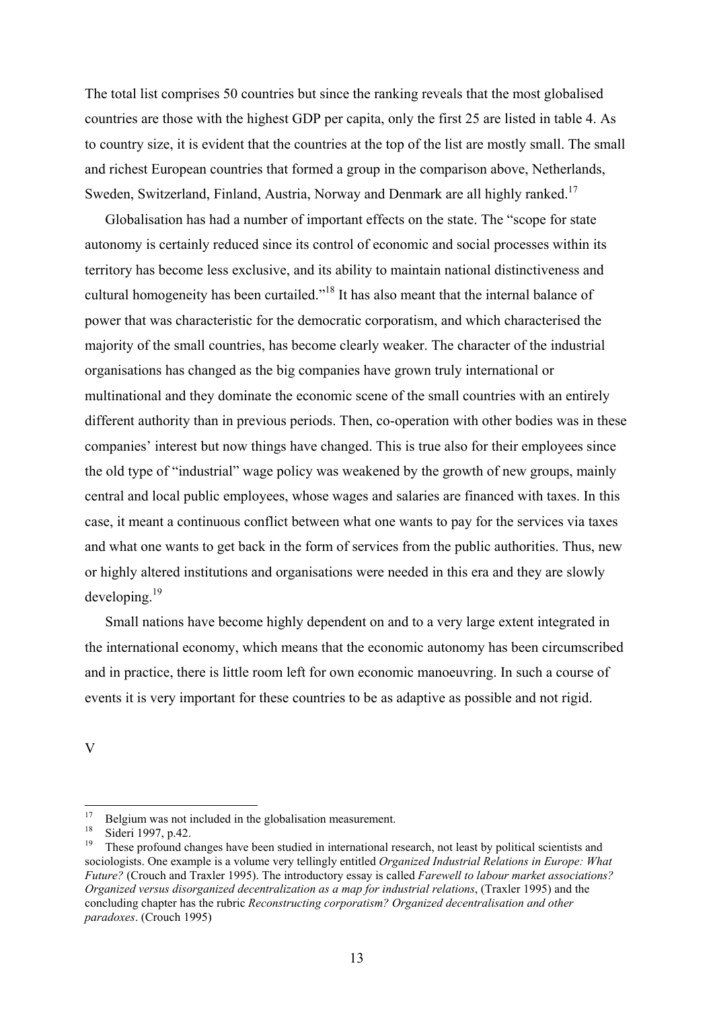The total list comprises 50 countries but since the ranking reveals that the most globalised countries are those with the highest GDP per capita, only the first 25 are listed in table 4. As to country size, it is evident that the countries at the top of the list are mostly small. The small and richest European countries that formed a group in the comparison above, Netherlands, Sweden, Switzerland, Finland, Austria, Norway and Denmark are all highly ranked.<sup>17</sup>

Globalisation has had a number of important effects on the state. The "scope for state autonomy is certainly reduced since its control of economic and social processes within its territory has become less exclusive, and its ability to maintain national distinctiveness and cultural homogeneity has been curtailed."[18](#page-13-1) It has also meant that the internal balance of power that was characteristic for the democratic corporatism, and which characterised the majority of the small countries, has become clearly weaker. The character of the industrial organisations has changed as the big companies have grown truly international or multinational and they dominate the economic scene of the small countries with an entirely different authority than in previous periods. Then, co-operation with other bodies was in these companies' interest but now things have changed. This is true also for their employees since the old type of "industrial" wage policy was weakened by the growth of new groups, mainly central and local public employees, whose wages and salaries are financed with taxes. In this case, it meant a continuous conflict between what one wants to pay for the services via taxes and what one wants to get back in the form of services from the public authorities. Thus, new or highly altered institutions and organisations were needed in this era and they are slowly developing[.19](#page-13-2) 

Small nations have become highly dependent on and to a very large extent integrated in the international economy, which means that the economic autonomy has been circumscribed and in practice, there is little room left for own economic manoeuvring. In such a course of events it is very important for these countries to be as adaptive as possible and not rigid.

V

<span id="page-13-0"></span><sup>17</sup> <sup>17</sup> Belgium was not included in the globalisation measurement.<br><sup>18</sup> Sidari 1907, p.42

<span id="page-13-2"></span><span id="page-13-1"></span>

<sup>&</sup>lt;sup>18</sup> Sideri 1997, p.42.<br><sup>19</sup> These profound changes have been studied in international research, not least by political scientists and sociologists. One example is a volume very tellingly entitled *Organized Industrial Relations in Europe: What Future?* (Crouch and Traxler 1995). The introductory essay is called *Farewell to labour market associations? Organized versus disorganized decentralization as a map for industrial relations*, (Traxler 1995) and the concluding chapter has the rubric *Reconstructing corporatism? Organized decentralisation and other paradoxes*. (Crouch 1995)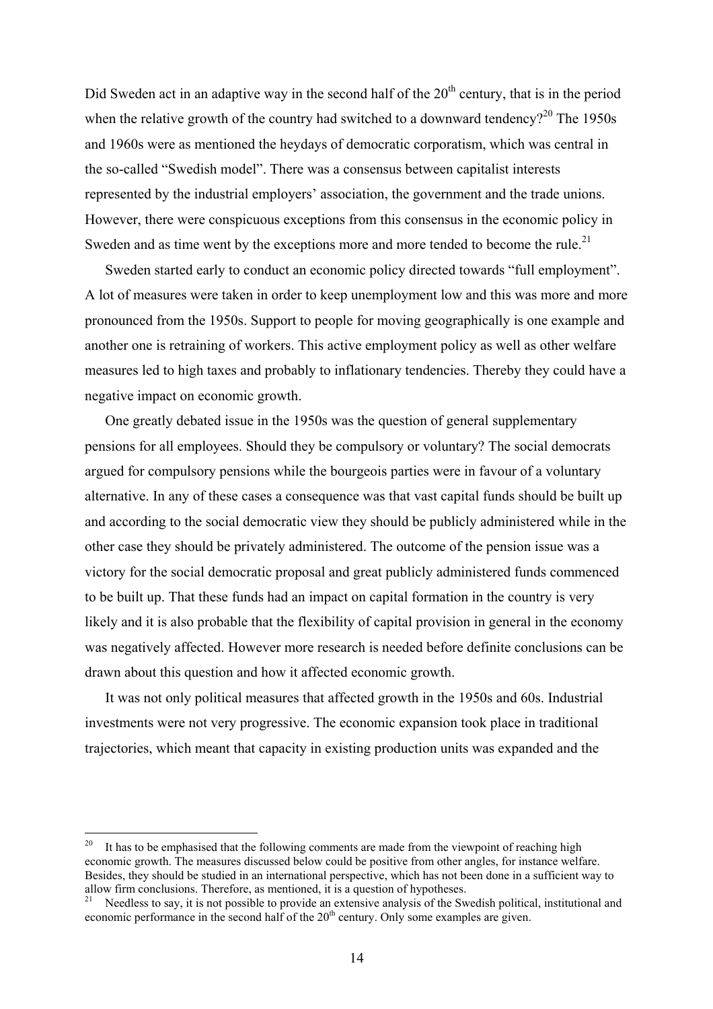Did Sweden act in an adaptive way in the second half of the  $20<sup>th</sup>$  century, that is in the period when the relative growth of the country had switched to a downward tendency?<sup>20</sup> The 1950s and 1960s were as mentioned the heydays of democratic corporatism, which was central in the so-called "Swedish model". There was a consensus between capitalist interests represented by the industrial employers' association, the government and the trade unions. However, there were conspicuous exceptions from this consensus in the economic policy in Sweden and as time went by the exceptions more and more tended to become the rule.<sup>21</sup>

Sweden started early to conduct an economic policy directed towards "full employment". A lot of measures were taken in order to keep unemployment low and this was more and more pronounced from the 1950s. Support to people for moving geographically is one example and another one is retraining of workers. This active employment policy as well as other welfare measures led to high taxes and probably to inflationary tendencies. Thereby they could have a negative impact on economic growth.

One greatly debated issue in the 1950s was the question of general supplementary pensions for all employees. Should they be compulsory or voluntary? The social democrats argued for compulsory pensions while the bourgeois parties were in favour of a voluntary alternative. In any of these cases a consequence was that vast capital funds should be built up and according to the social democratic view they should be publicly administered while in the other case they should be privately administered. The outcome of the pension issue was a victory for the social democratic proposal and great publicly administered funds commenced to be built up. That these funds had an impact on capital formation in the country is very likely and it is also probable that the flexibility of capital provision in general in the economy was negatively affected. However more research is needed before definite conclusions can be drawn about this question and how it affected economic growth.

It was not only political measures that affected growth in the 1950s and 60s. Industrial investments were not very progressive. The economic expansion took place in traditional trajectories, which meant that capacity in existing production units was expanded and the

<span id="page-14-0"></span><sup>20</sup> It has to be emphasised that the following comments are made from the viewpoint of reaching high economic growth. The measures discussed below could be positive from other angles, for instance welfare. Besides, they should be studied in an international perspective, which has not been done in a sufficient way to allow firm conclusions. Therefore, as mentioned, it is a question of hypotheses.

<span id="page-14-1"></span>Needless to say, it is not possible to provide an extensive analysis of the Swedish political, institutional and economic performance in the second half of the  $20<sup>th</sup>$  century. Only some examples are given.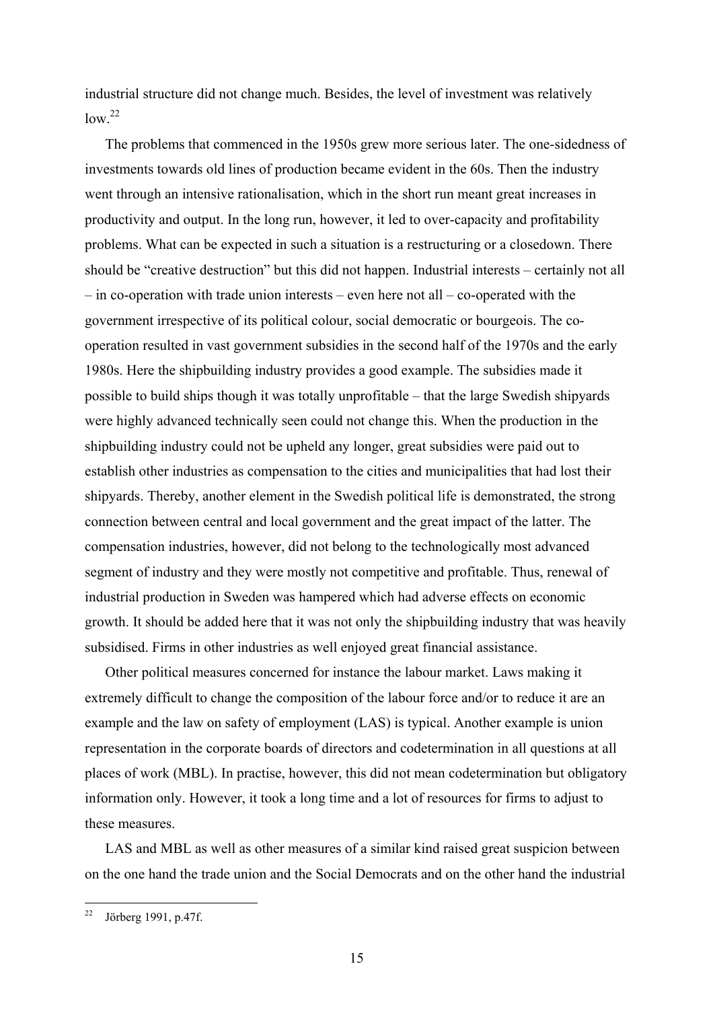industrial structure did not change much. Besides, the level of investment was relatively  $\frac{1}{2}$ 

The problems that commenced in the 1950s grew more serious later. The one-sidedness of investments towards old lines of production became evident in the 60s. Then the industry went through an intensive rationalisation, which in the short run meant great increases in productivity and output. In the long run, however, it led to over-capacity and profitability problems. What can be expected in such a situation is a restructuring or a closedown. There should be "creative destruction" but this did not happen. Industrial interests – certainly not all – in co-operation with trade union interests – even here not all – co-operated with the government irrespective of its political colour, social democratic or bourgeois. The cooperation resulted in vast government subsidies in the second half of the 1970s and the early 1980s. Here the shipbuilding industry provides a good example. The subsidies made it possible to build ships though it was totally unprofitable – that the large Swedish shipyards were highly advanced technically seen could not change this. When the production in the shipbuilding industry could not be upheld any longer, great subsidies were paid out to establish other industries as compensation to the cities and municipalities that had lost their shipyards. Thereby, another element in the Swedish political life is demonstrated, the strong connection between central and local government and the great impact of the latter. The compensation industries, however, did not belong to the technologically most advanced segment of industry and they were mostly not competitive and profitable. Thus, renewal of industrial production in Sweden was hampered which had adverse effects on economic growth. It should be added here that it was not only the shipbuilding industry that was heavily subsidised. Firms in other industries as well enjoyed great financial assistance.

Other political measures concerned for instance the labour market. Laws making it extremely difficult to change the composition of the labour force and/or to reduce it are an example and the law on safety of employment (LAS) is typical. Another example is union representation in the corporate boards of directors and codetermination in all questions at all places of work (MBL). In practise, however, this did not mean codetermination but obligatory information only. However, it took a long time and a lot of resources for firms to adjust to these measures.

LAS and MBL as well as other measures of a similar kind raised great suspicion between on the one hand the trade union and the Social Democrats and on the other hand the industrial

<span id="page-15-0"></span> $22$ 22 Jörberg 1991, p.47f.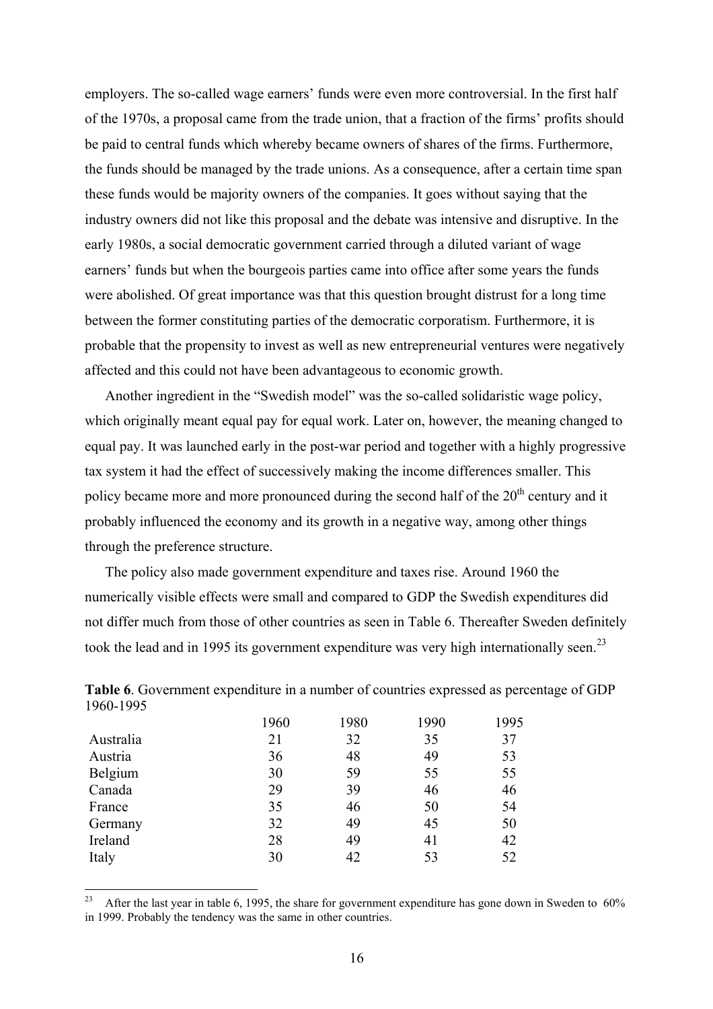employers. The so-called wage earners' funds were even more controversial. In the first half of the 1970s, a proposal came from the trade union, that a fraction of the firms' profits should be paid to central funds which whereby became owners of shares of the firms. Furthermore, the funds should be managed by the trade unions. As a consequence, after a certain time span these funds would be majority owners of the companies. It goes without saying that the industry owners did not like this proposal and the debate was intensive and disruptive. In the early 1980s, a social democratic government carried through a diluted variant of wage earners' funds but when the bourgeois parties came into office after some years the funds were abolished. Of great importance was that this question brought distrust for a long time between the former constituting parties of the democratic corporatism. Furthermore, it is probable that the propensity to invest as well as new entrepreneurial ventures were negatively affected and this could not have been advantageous to economic growth.

Another ingredient in the "Swedish model" was the so-called solidaristic wage policy, which originally meant equal pay for equal work. Later on, however, the meaning changed to equal pay. It was launched early in the post-war period and together with a highly progressive tax system it had the effect of successively making the income differences smaller. This policy became more and more pronounced during the second half of the 20<sup>th</sup> century and it probably influenced the economy and its growth in a negative way, among other things through the preference structure.

The policy also made government expenditure and taxes rise. Around 1960 the numerically visible effects were small and compared to GDP the Swedish expenditures did not differ much from those of other countries as seen in Table 6. Thereafter Sweden definitely took the lead and in 1995 its government expenditure was very high internationally seen.<sup>23</sup>

| Table 6. Government expenditure in a number of countries expressed as percentage of GDP |  |
|-----------------------------------------------------------------------------------------|--|
| 1960-1995                                                                               |  |

|           | 1960 | 1980 | 1990 | 1995 |
|-----------|------|------|------|------|
| Australia | 21   | 32   | 35   | 37   |
| Austria   | 36   | 48   | 49   | 53   |
| Belgium   | 30   | 59   | 55   | 55   |
| Canada    | 29   | 39   | 46   | 46   |
| France    | 35   | 46   | 50   | 54   |
| Germany   | 32   | 49   | 45   | 50   |
| Ireland   | 28   | 49   | 41   | 42   |
| Italy     | 30   | 42   | 53   | 52   |

<span id="page-16-0"></span><sup>23</sup> 23 After the last year in table 6, 1995, the share for government expenditure has gone down in Sweden to 60% in 1999. Probably the tendency was the same in other countries.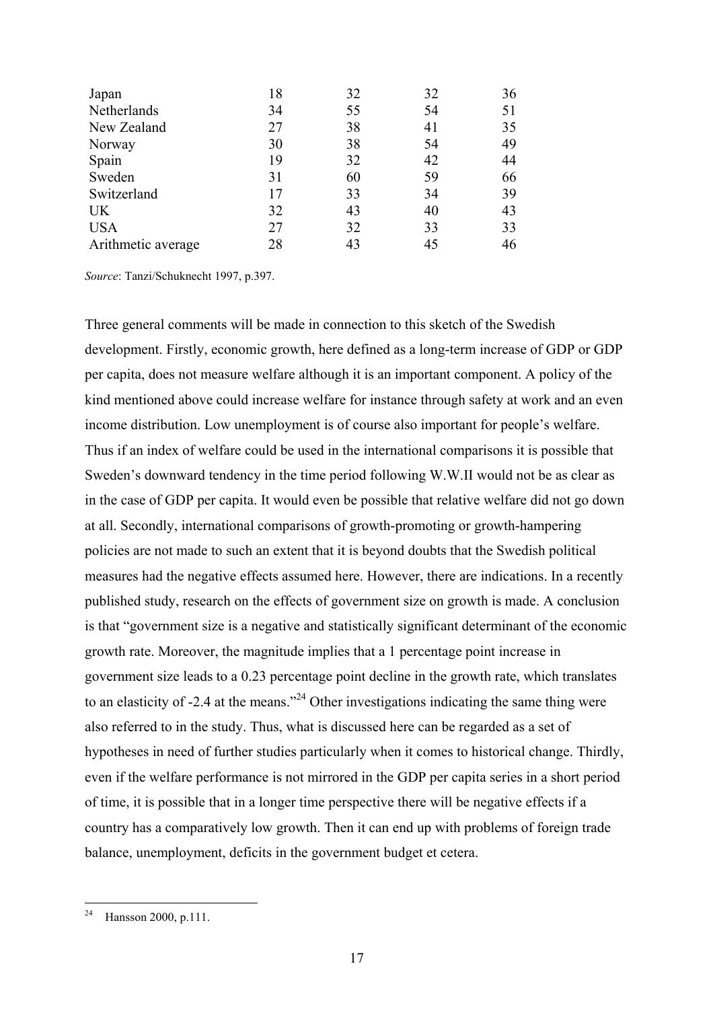| Japan              | 18 | 32 | 32 | 36 |
|--------------------|----|----|----|----|
| Netherlands        | 34 | 55 | 54 | 51 |
| New Zealand        | 27 | 38 | 41 | 35 |
| Norway             | 30 | 38 | 54 | 49 |
| Spain              | 19 | 32 | 42 | 44 |
| Sweden             | 31 | 60 | 59 | 66 |
| Switzerland        | 17 | 33 | 34 | 39 |
| <b>UK</b>          | 32 | 43 | 40 | 43 |
| <b>USA</b>         | 27 | 32 | 33 | 33 |
| Arithmetic average | 28 | 43 | 45 | 46 |

*Source*: Tanzi/Schuknecht 1997, p.397.

Three general comments will be made in connection to this sketch of the Swedish development. Firstly, economic growth, here defined as a long-term increase of GDP or GDP per capita, does not measure welfare although it is an important component. A policy of the kind mentioned above could increase welfare for instance through safety at work and an even income distribution. Low unemployment is of course also important for people's welfare. Thus if an index of welfare could be used in the international comparisons it is possible that Sweden's downward tendency in the time period following W.W.II would not be as clear as in the case of GDP per capita. It would even be possible that relative welfare did not go down at all. Secondly, international comparisons of growth-promoting or growth-hampering policies are not made to such an extent that it is beyond doubts that the Swedish political measures had the negative effects assumed here. However, there are indications. In a recently published study, research on the effects of government size on growth is made. A conclusion is that "government size is a negative and statistically significant determinant of the economic growth rate. Moreover, the magnitude implies that a 1 percentage point increase in government size leads to a 0.23 percentage point decline in the growth rate, which translates to an elasticity of -2.4 at the means."[24](#page-17-0) Other investigations indicating the same thing were also referred to in the study. Thus, what is discussed here can be regarded as a set of hypotheses in need of further studies particularly when it comes to historical change. Thirdly, even if the welfare performance is not mirrored in the GDP per capita series in a short period of time, it is possible that in a longer time perspective there will be negative effects if a country has a comparatively low growth. Then it can end up with problems of foreign trade balance, unemployment, deficits in the government budget et cetera.

<span id="page-17-0"></span> $24$ Hansson 2000, p.111.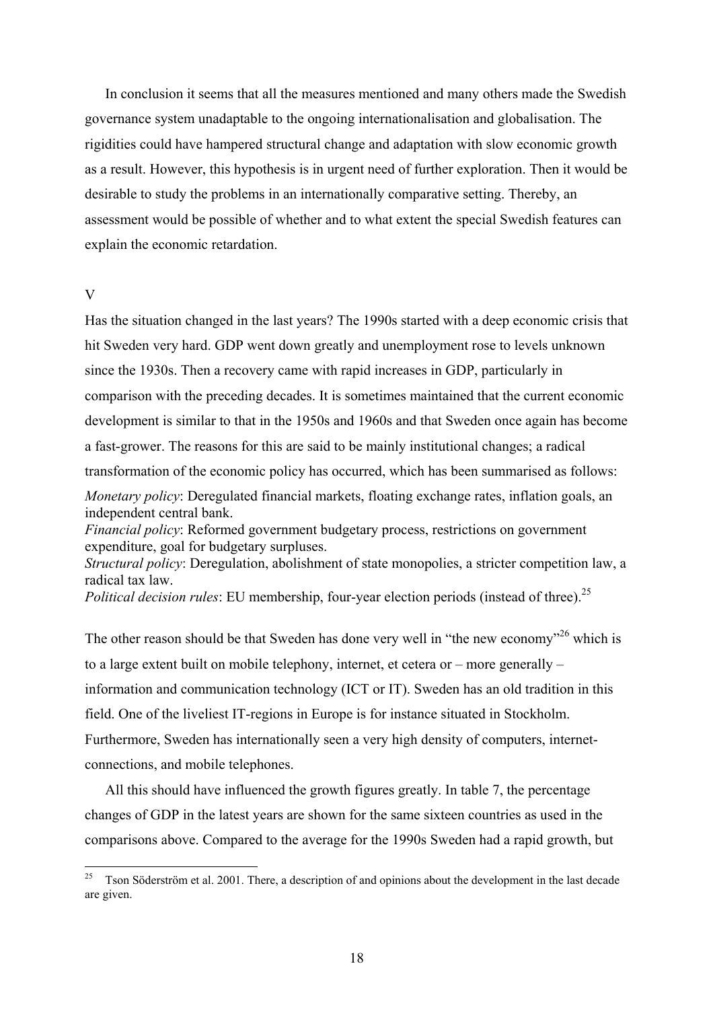In conclusion it seems that all the measures mentioned and many others made the Swedish governance system unadaptable to the ongoing internationalisation and globalisation. The rigidities could have hampered structural change and adaptation with slow economic growth as a result. However, this hypothesis is in urgent need of further exploration. Then it would be desirable to study the problems in an internationally comparative setting. Thereby, an assessment would be possible of whether and to what extent the special Swedish features can explain the economic retardation.

### V

Has the situation changed in the last years? The 1990s started with a deep economic crisis that hit Sweden very hard. GDP went down greatly and unemployment rose to levels unknown since the 1930s. Then a recovery came with rapid increases in GDP, particularly in comparison with the preceding decades. It is sometimes maintained that the current economic development is similar to that in the 1950s and 1960s and that Sweden once again has become a fast-grower. The reasons for this are said to be mainly institutional changes; a radical transformation of the economic policy has occurred, which has been summarised as follows: *Monetary policy*: Deregulated financial markets, floating exchange rates, inflation goals, an independent central bank. *Financial policy*: Reformed government budgetary process, restrictions on government expenditure, goal for budgetary surpluses. *Structural policy*: Deregulation, abolishment of state monopolies, a stricter competition law, a radical tax law. *Political decision rules*: EU membership, four-year election periods (instead of three).<sup>25</sup>

The other reason should be that Sweden has done very well in "the new economy"<sup>26</sup> which is to a large extent built on mobile telephony, internet, et cetera or – more generally – information and communication technology (ICT or IT). Sweden has an old tradition in this field. One of the liveliest IT-regions in Europe is for instance situated in Stockholm. Furthermore, Sweden has internationally seen a very high density of computers, internetconnections, and mobile telephones.

All this should have influenced the growth figures greatly. In table 7, the percentage changes of GDP in the latest years are shown for the same sixteen countries as used in the comparisons above. Compared to the average for the 1990s Sweden had a rapid growth, but

<span id="page-18-1"></span><span id="page-18-0"></span><sup>25</sup> 25 Tson Söderström et al. 2001. There, a description of and opinions about the development in the last decade are given.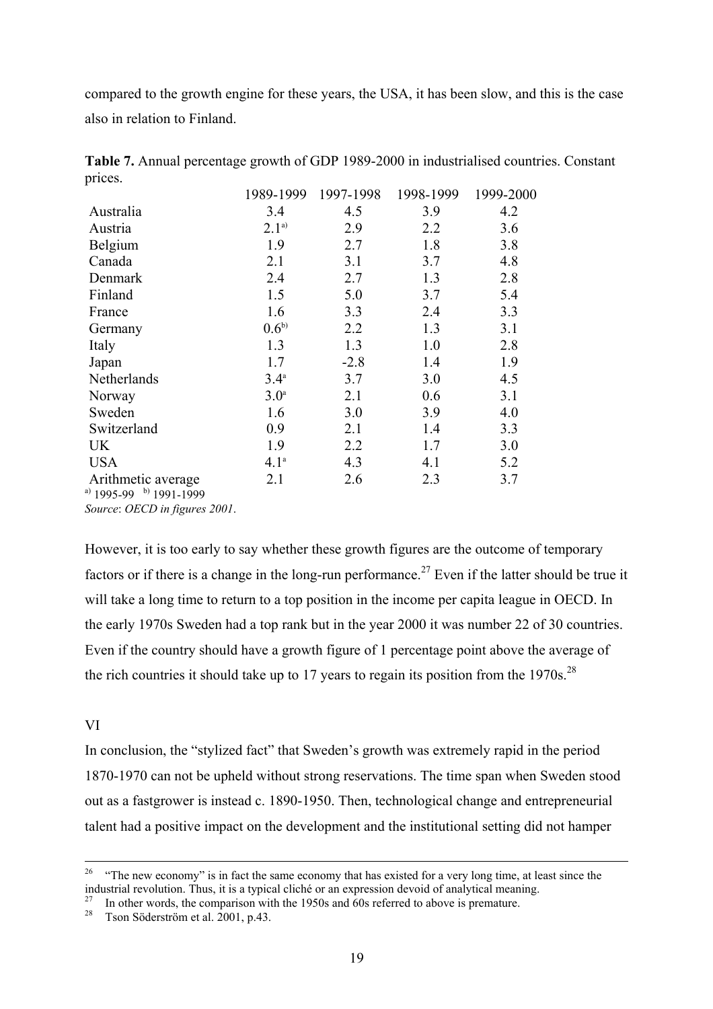compared to the growth engine for these years, the USA, it has been slow, and this is the case also in relation to Finland.

|                                                       | 1989-1999        | 1997-1998 | 1998-1999 | 1999-2000 |
|-------------------------------------------------------|------------------|-----------|-----------|-----------|
| Australia                                             | 3.4              | 4.5       | 3.9       | 4.2       |
| Austria                                               | $2.1^{a)}$       | 2.9       | 2.2       | 3.6       |
| Belgium                                               | 1.9              | 2.7       | 1.8       | 3.8       |
| Canada                                                | 2.1              | 3.1       | 3.7       | 4.8       |
| Denmark                                               | 2.4              | 2.7       | 1.3       | 2.8       |
| Finland                                               | 1.5              | 5.0       | 3.7       | 5.4       |
| France                                                | 1.6              | 3.3       | 2.4       | 3.3       |
| Germany                                               | $0.6^{b)}$       | 2.2       | 1.3       | 3.1       |
| Italy                                                 | 1.3              | 1.3       | 1.0       | 2.8       |
| Japan                                                 | 1.7              | $-2.8$    | 1.4       | 1.9       |
| Netherlands                                           | $3.4^{\circ}$    | 3.7       | 3.0       | 4.5       |
| Norway                                                | 3.0 <sup>a</sup> | 2.1       | 0.6       | 3.1       |
| Sweden                                                | 1.6              | 3.0       | 3.9       | 4.0       |
| Switzerland                                           | 0.9              | 2.1       | 1.4       | 3.3       |
| UK                                                    | 1.9              | 2.2       | 1.7       | 3.0       |
| <b>USA</b>                                            | 4.1 <sup>a</sup> | 4.3       | 4.1       | 5.2       |
| Arithmetic average<br>a) $1995-99$ b) $1991-1999$     | 2.1              | 2.6       | 2.3       | 3.7       |
| $S_{\text{out}} \cap ECD \sim G_{\text{out}} \cap D1$ |                  |           |           |           |

**Table 7.** Annual percentage growth of GDP 1989-2000 in industrialised countries. Constant prices.

*Source*: *OECD in figures 2001*.

However, it is too early to say whether these growth figures are the outcome of temporary factors or if there is a change in the long-run performance.<sup>27</sup> Even if the latter should be true it will take a long time to return to a top position in the income per capita league in OECD. In the early 1970s Sweden had a top rank but in the year 2000 it was number 22 of 30 countries. Even if the country should have a growth figure of 1 percentage point above the average of the rich countries it should take up to 17 years to regain its position from the  $1970s$ .<sup>28</sup>

# VI

In conclusion, the "stylized fact" that Sweden's growth was extremely rapid in the period 1870-1970 can not be upheld without strong reservations. The time span when Sweden stood out as a fastgrower is instead c. 1890-1950. Then, technological change and entrepreneurial talent had a positive impact on the development and the institutional setting did not hamper

<sup>&</sup>lt;sup>26</sup> "The new economy" is in fact the same economy that has existed for a very long time, at least since the industrial revolution. Thus, it is a typical cliché or an expression devoid of analytical meaning.

<span id="page-19-0"></span><sup>&</sup>lt;sup>27</sup> In other words, the comparison with the 1950s and 60s referred to above is premature.<br><sup>28</sup> Tson Söderström et al. 2001, p.43.

<span id="page-19-1"></span>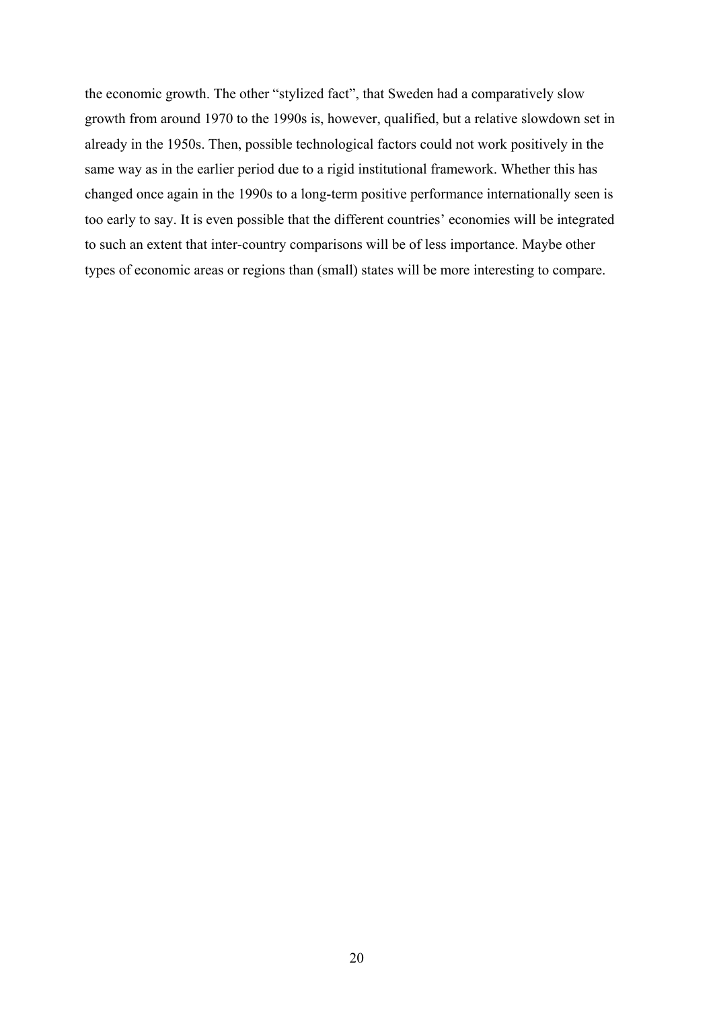the economic growth. The other "stylized fact", that Sweden had a comparatively slow growth from around 1970 to the 1990s is, however, qualified, but a relative slowdown set in already in the 1950s. Then, possible technological factors could not work positively in the same way as in the earlier period due to a rigid institutional framework. Whether this has changed once again in the 1990s to a long-term positive performance internationally seen is too early to say. It is even possible that the different countries' economies will be integrated to such an extent that inter-country comparisons will be of less importance. Maybe other types of economic areas or regions than (small) states will be more interesting to compare.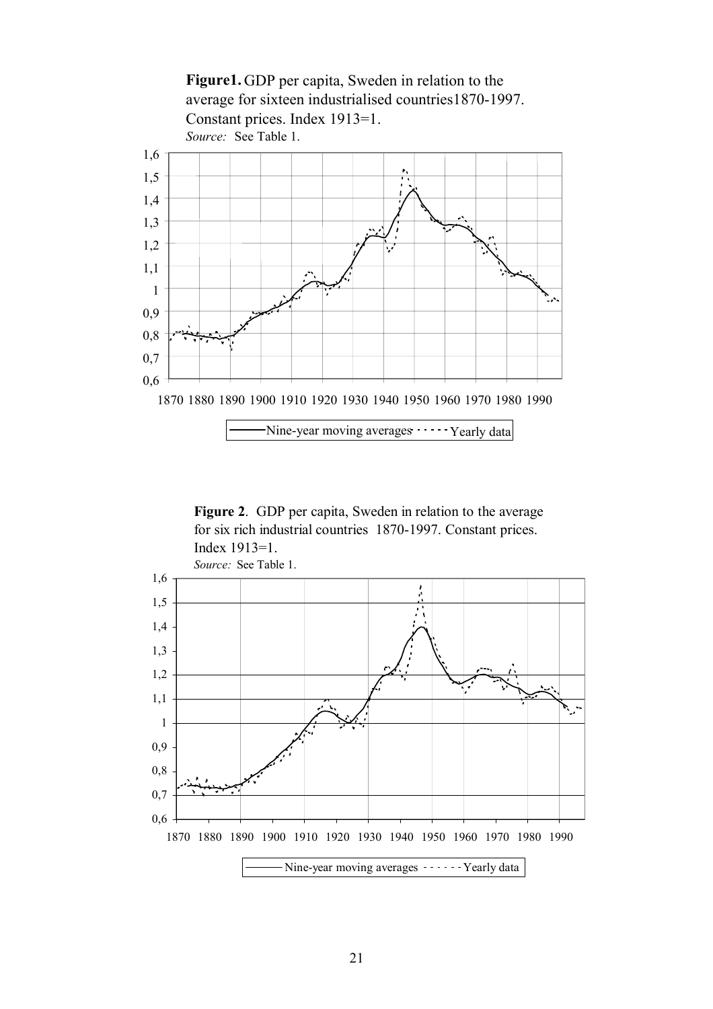**Figure1.** GDP per capita, Sweden in relation to the average for sixteen industrialised countries1870-1997. Constant prices. Index 1913=1. *Source:* See Table 1.



**Figure 2**. GDP per capita, Sweden in relation to the average for six rich industrial countries 1870-1997. Constant prices. Index 1913=1.

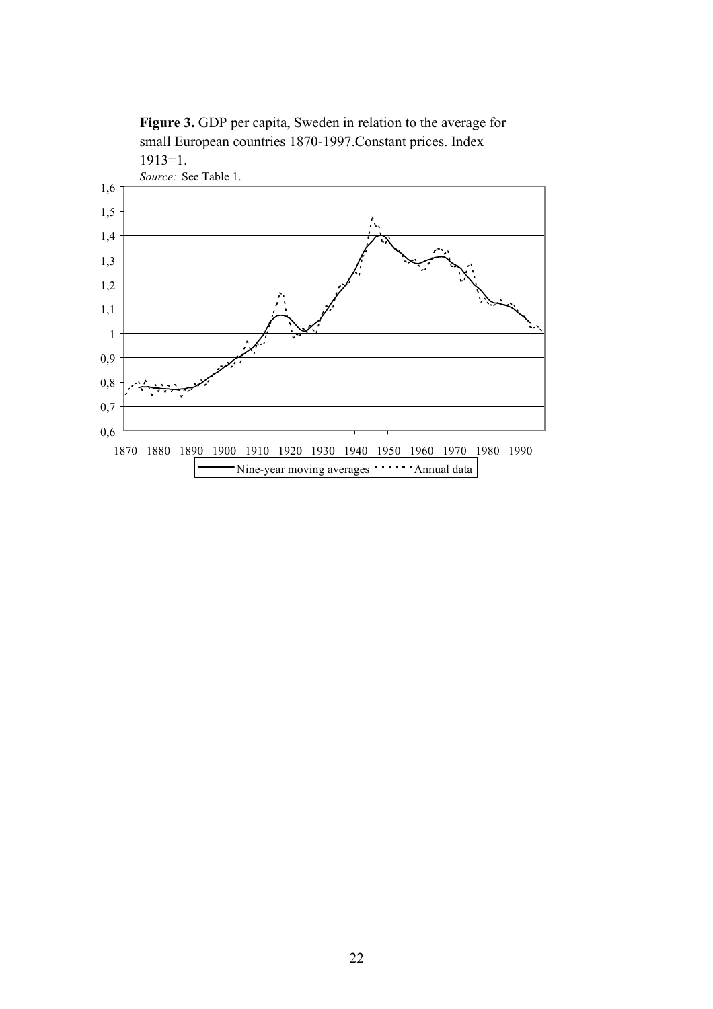

**Figure 3.** GDP per capita, Sweden in relation to the average for small European countries 1870-1997.Constant prices. Index 1913=1.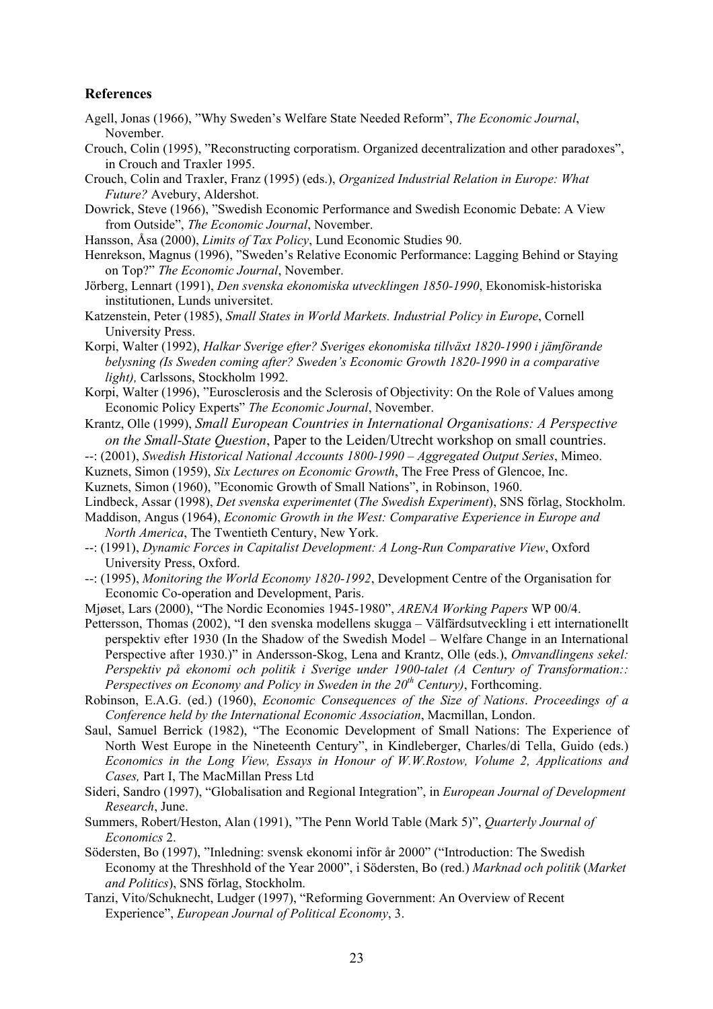#### **References**

- Agell, Jonas (1966), "Why Sweden's Welfare State Needed Reform", *The Economic Journal*, November.
- Crouch, Colin (1995), "Reconstructing corporatism. Organized decentralization and other paradoxes", in Crouch and Traxler 1995.
- Crouch, Colin and Traxler, Franz (1995) (eds.), *Organized Industrial Relation in Europe: What Future?* Avebury, Aldershot.
- Dowrick, Steve (1966), "Swedish Economic Performance and Swedish Economic Debate: A View from Outside", *The Economic Journal*, November.
- Hansson, Åsa (2000), *Limits of Tax Policy*, Lund Economic Studies 90.
- Henrekson, Magnus (1996), "Sweden's Relative Economic Performance: Lagging Behind or Staying on Top?" *The Economic Journal*, November.
- Jörberg, Lennart (1991), *Den svenska ekonomiska utvecklingen 1850-1990*, Ekonomisk-historiska institutionen, Lunds universitet.
- Katzenstein, Peter (1985), *Small States in World Markets. Industrial Policy in Europe*, Cornell University Press.
- Korpi, Walter (1992), *Halkar Sverige efter? Sveriges ekonomiska tillväxt 1820-1990 i jämförande belysning (Is Sweden coming after? Sweden's Economic Growth 1820-1990 in a comparative light),* Carlssons, Stockholm 1992.
- Korpi, Walter (1996), "Eurosclerosis and the Sclerosis of Objectivity: On the Role of Values among Economic Policy Experts" *The Economic Journal*, November.
- Krantz, Olle (1999), *Small European Countries in International Organisations: A Perspective on the Small-State Question*, Paper to the Leiden/Utrecht workshop on small countries.
- --: (2001), *Swedish Historical National Accounts 1800-1990 Aggregated Output Series*, Mimeo.
- Kuznets, Simon (1959), *Six Lectures on Economic Growth*, The Free Press of Glencoe, Inc.
- Kuznets, Simon (1960), "Economic Growth of Small Nations", in Robinson, 1960.
- Lindbeck, Assar (1998), *Det svenska experimentet* (*The Swedish Experiment*), SNS förlag, Stockholm.
- Maddison, Angus (1964), *Economic Growth in the West: Comparative Experience in Europe and North America*, The Twentieth Century, New York.
- --: (1991), *Dynamic Forces in Capitalist Development: A Long-Run Comparative View*, Oxford University Press, Oxford.
- --: (1995), *Monitoring the World Economy 1820-1992*, Development Centre of the Organisation for Economic Co-operation and Development, Paris.
- Mjøset, Lars (2000), "The Nordic Economies 1945-1980", *ARENA Working Papers* WP 00/4.
- Pettersson, Thomas (2002), "I den svenska modellens skugga Välfärdsutveckling i ett internationellt perspektiv efter 1930 (In the Shadow of the Swedish Model – Welfare Change in an International Perspective after 1930.)" in Andersson-Skog, Lena and Krantz, Olle (eds.), *Omvandlingens sekel: Perspektiv på ekonomi och politik i Sverige under 1900-talet (A Century of Transformation:: Perspectives on Economy and Policy in Sweden in the 20th Century)*, Forthcoming.
- Robinson, E.A.G. (ed.) (1960), *Economic Consequences of the Size of Nations*. *Proceedings of a Conference held by the International Economic Association*, Macmillan, London.
- Saul, Samuel Berrick (1982), "The Economic Development of Small Nations: The Experience of North West Europe in the Nineteenth Century", in Kindleberger, Charles/di Tella, Guido (eds.) *Economics in the Long View, Essays in Honour of W.W.Rostow, Volume 2, Applications and Cases,* Part I, The MacMillan Press Ltd
- Sideri, Sandro (1997), "Globalisation and Regional Integration", in *European Journal of Development Research*, June.
- Summers, Robert/Heston, Alan (1991), "The Penn World Table (Mark 5)", *Quarterly Journal of Economics* 2.
- Södersten, Bo (1997), "Inledning: svensk ekonomi inför år 2000" ("Introduction: The Swedish Economy at the Threshhold of the Year 2000", i Södersten, Bo (red.) *Marknad och politik* (*Market and Politics*), SNS förlag, Stockholm.
- Tanzi, Vito/Schuknecht, Ludger (1997), "Reforming Government: An Overview of Recent Experience", *European Journal of Political Economy*, 3.